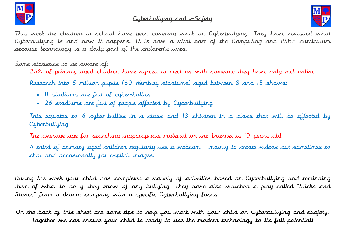

### Cyberbullying and e-Safety



This week the children in school have been covering work on Cyberbullying. They have revisited what Cyberbullying is and how it happens. It is now a vital part of the Computing and PSHE curriculum because technology is a daily part of the children's lives.

Some statistics to be aware of:

25% of primary aged children have agreed to meet up with someone they have only met online.

Research into 5 million pupils (60 Wembley stadiums) aged between 8 and 15 shows:

- 11 stadiums are full of cyber-bullies
- 26 stadiums are full of people affected by Cyberbullying

This equates to 6 cyber-bullies in a class and 13 children in a class that will be affected by Cyberbullying.

The average age for searching inappropriate material on the Internet is 10 years old.

A third of primary aged children regularly use a webcam – mainly to create videos but sometimes to chat and occasionally for explicit images.

During the week your child has completed a variety of activities based on Cyberbullying and reminding them of what to do if they know of any bullying. They have also watched a play called "Sticks and Stones" from a drama company with a specific Cyberbullying focus.

On the back of this sheet are some tips to help you work with your child on Cyberbullying and eSafety. Together we can ensure your child is ready to use the modern technology to its full potential!